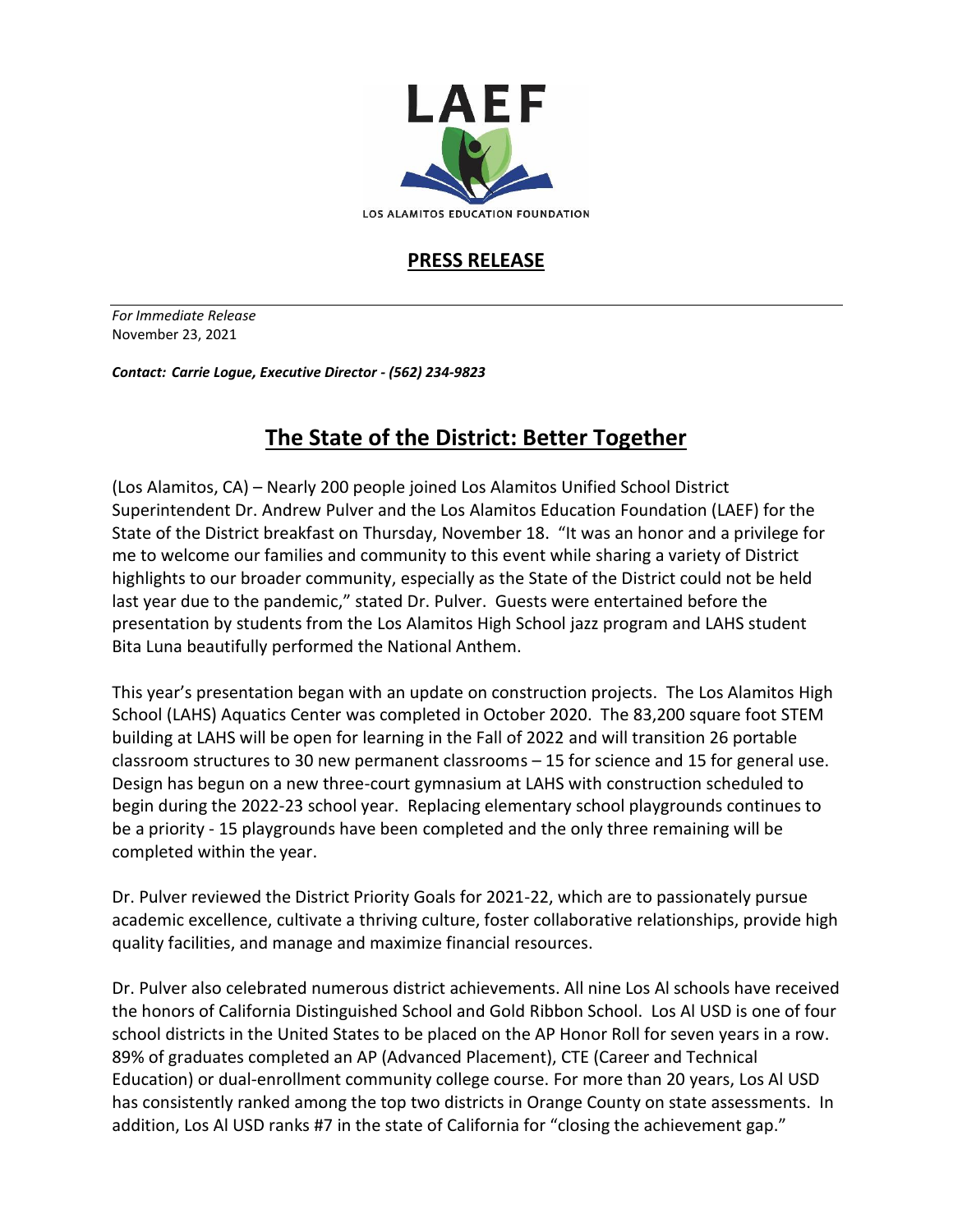

LOS ALAMITOS EDUCATION FOUNDATION

## **PRESS RELEASE**

*For Immediate Release*  November 23, 2021

*Contact: Carrie Logue, Executive Director - (562) 234-9823*

## **The State of the District: Better Together**

(Los Alamitos, CA) – Nearly 200 people joined Los Alamitos Unified School District Superintendent Dr. Andrew Pulver and the Los Alamitos Education Foundation (LAEF) for the State of the District breakfast on Thursday, November 18. "It was an honor and a privilege for me to welcome our families and community to this event while sharing a variety of District highlights to our broader community, especially as the State of the District could not be held last year due to the pandemic," stated Dr. Pulver. Guests were entertained before the presentation by students from the Los Alamitos High School jazz program and LAHS student Bita Luna beautifully performed the National Anthem.

This year's presentation began with an update on construction projects. The Los Alamitos High School (LAHS) Aquatics Center was completed in October 2020. The 83,200 square foot STEM building at LAHS will be open for learning in the Fall of 2022 and will transition 26 portable classroom structures to 30 new permanent classrooms – 15 for science and 15 for general use. Design has begun on a new three-court gymnasium at LAHS with construction scheduled to begin during the 2022-23 school year. Replacing elementary school playgrounds continues to be a priority - 15 playgrounds have been completed and the only three remaining will be completed within the year.

Dr. Pulver reviewed the District Priority Goals for 2021-22, which are to passionately pursue academic excellence, cultivate a thriving culture, foster collaborative relationships, provide high quality facilities, and manage and maximize financial resources.

Dr. Pulver also celebrated numerous district achievements. All nine Los Al schools have received the honors of California Distinguished School and Gold Ribbon School. Los Al USD is one of four school districts in the United States to be placed on the AP Honor Roll for seven years in a row. 89% of graduates completed an AP (Advanced Placement), CTE (Career and Technical Education) or dual-enrollment community college course. For more than 20 years, Los Al USD has consistently ranked among the top two districts in Orange County on state assessments. In addition, Los Al USD ranks #7 in the state of California for "closing the achievement gap."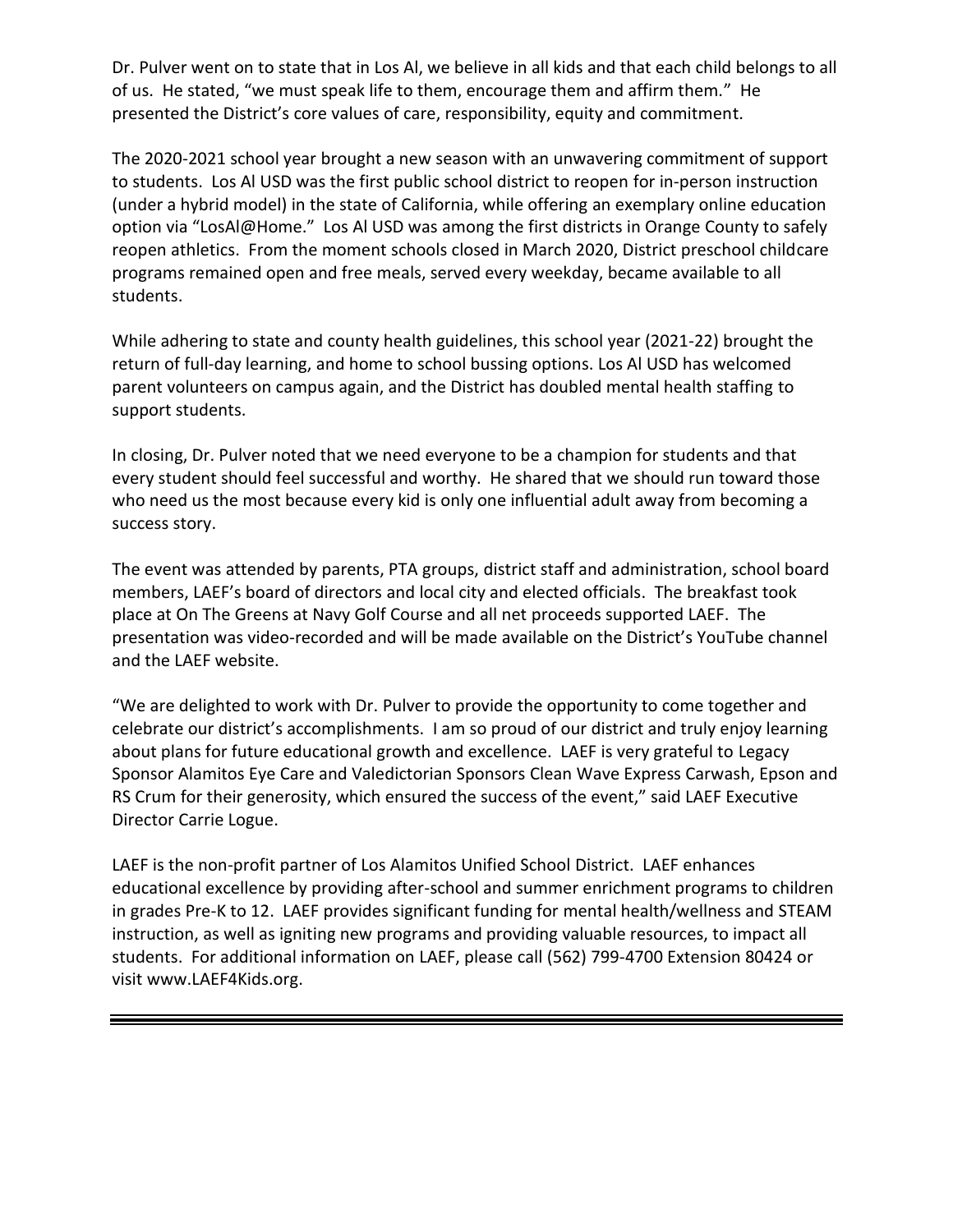Dr. Pulver went on to state that in Los Al, we believe in all kids and that each child belongs to all of us. He stated, "we must speak life to them, encourage them and affirm them." He presented the District's core values of care, responsibility, equity and commitment.

The 2020-2021 school year brought a new season with an unwavering commitment of support to students. Los Al USD was the first public school district to reopen for in-person instruction (under a hybrid model) in the state of California, while offering an exemplary online education option via "LosAl@Home." Los Al USD was among the first districts in Orange County to safely reopen athletics. From the moment schools closed in March 2020, District preschool childcare programs remained open and free meals, served every weekday, became available to all students.

While adhering to state and county health guidelines, this school year (2021-22) brought the return of full-day learning, and home to school bussing options. Los Al USD has welcomed parent volunteers on campus again, and the District has doubled mental health staffing to support students.

In closing, Dr. Pulver noted that we need everyone to be a champion for students and that every student should feel successful and worthy. He shared that we should run toward those who need us the most because every kid is only one influential adult away from becoming a success story.

The event was attended by parents, PTA groups, district staff and administration, school board members, LAEF's board of directors and local city and elected officials. The breakfast took place at On The Greens at Navy Golf Course and all net proceeds supported LAEF. The presentation was video-recorded and will be made available on the District's YouTube channel and the LAEF website.

"We are delighted to work with Dr. Pulver to provide the opportunity to come together and celebrate our district's accomplishments. I am so proud of our district and truly enjoy learning about plans for future educational growth and excellence. LAEF is very grateful to Legacy Sponsor Alamitos Eye Care and Valedictorian Sponsors Clean Wave Express Carwash, Epson and RS Crum for their generosity, which ensured the success of the event," said LAEF Executive Director Carrie Logue.

LAEF is the non-profit partner of Los Alamitos Unified School District. LAEF enhances educational excellence by providing after-school and summer enrichment programs to children in grades Pre-K to 12. LAEF provides significant funding for mental health/wellness and STEAM instruction, as well as igniting new programs and providing valuable resources, to impact all students. For additional information on LAEF, please call (562) 799-4700 Extension 80424 or visit www.LAEF4Kids.org.